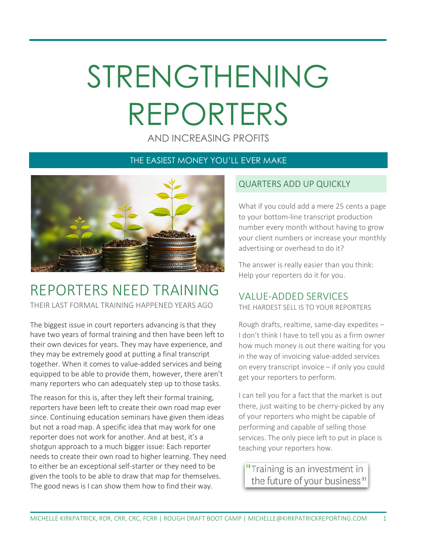# STRENGTHENING REPORTERS

AND INCREASING PROFITS

#### THE EASIEST MONEY YOU'LL EVER MAKE



### REPORTERS NEED TRAINING

THEIR LAST FORMAL TRAINING HAPPENED YEARS AGO

The biggest issue in court reporters advancing is that they have two years of formal training and then have been left to their own devices for years. They may have experience, and they may be extremely good at putting a final transcript together. When it comes to value-added services and being equipped to be able to provide them, however, there aren't many reporters who can adequately step up to those tasks.

The reason for this is, after they left their formal training, reporters have been left to create their own road map ever since. Continuing education seminars have given them ideas but not a road map. A specific idea that may work for one reporter does not work for another. And at best, it's a shotgun approach to a much bigger issue: Each reporter needs to create their own road to higher learning. They need to either be an exceptional self-starter or they need to be given the tools to be able to draw that map for themselves. The good news is I can show them how to find their way.

#### QUARTERS ADD UP QUICKLY

What if you could add a mere 25 cents a page to your bottom-line transcript production number every month without having to grow your client numbers or increase your monthly advertising or overhead to do it?

The answer is really easier than you think: Help your reporters do it for you.

#### VALUE-ADDED SERVICES

THE HARDEST SELL IS TO YOUR REPORTERS

Rough drafts, realtime, same-day expedites – I don't think I have to tell you as a firm owner how much money is out there waiting for you in the way of invoicing value-added services on every transcript invoice – if only you could get your reporters to perform.

I can tell you for a fact that the market is out there, just waiting to be cherry-picked by any of your reporters who might be capable of performing and capable of selling those services. The only piece left to put in place is teaching your reporters how.

"Training is an investment in the future of your business"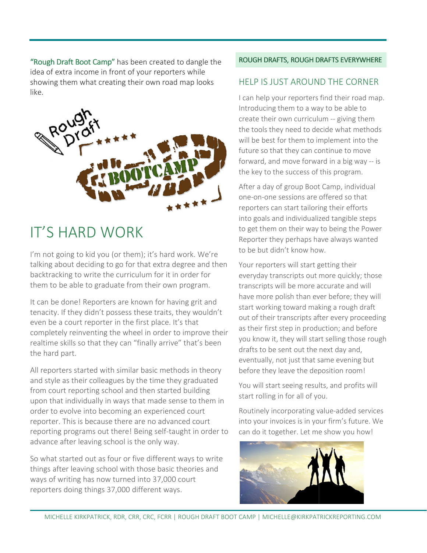"Rough Draft Boot Camp" has been created to dangle the<br>idea of extra income in front of your reporters while idea of extra income in front of your reporters showing them what creating their own road map looks like.



## IT'S HARD WORK

I'm not going to kid you (or them); it's hard work. We're talking about deciding to go for that extra degree and then backtracking to write the curriculum for it in order for them to be able to graduate from their own program.

It can be done! Reporters are known for having grit and tenacity. If they didn't possess these traits, they wouldn't even be a court reporter in the first place. It's that completely reinventing the wheel in order to improve their realtime skills so that they can "finally arrive" that's been the hard part. ipletely reinventing the wheel in order to improve the<br>time skills so that they can "finally arrive" that's been<br>hard part.<br>eporters started with similar basic methods in theory

All reporters started with similar basic methods in theory and style as their colleagues by the time they graduated from court reporting school and then started building upon that individually in ways that made sense to them in order to evolve into becoming an experienced court reporter. This is because there are no advanced court from court reporting school and then started building<br>upon that individually in ways that made sense to them in<br>order to evolve into becoming an experienced court<br>reporter. This is because there are no advanced court<br>repor advance after leaving school is the only way.

So what started out as four or five different ways to write advance after leaving school is the only way.<br>So what started out as four or five different ways to write<br>things after leaving school with those basic theories and ways of writing has now turned into 37,000 court reporters doing things 37,000 different ways.

#### ROUGH DRAFTS, ROUGH DRAFTS EVERYWHERE DRAFTS EVERYWHERE

#### HELP IS JUST AROUND THE CORNER

I can help your reporters find their road map. Introducing them to a way to be able to create their own curriculum -- giving them the tools they need to decide what methods will be best for them to implement into the future so that they can continue to move the tools they need to decide what methods<br>will be best for them to implement into the<br>future so that they can continue to move<br>forward, and move forward in a big way -- is the key to the success of this program.

After a day of group Boot Camp, individual one-on-one sessions are offered so that After a day of group Boot Camp, individu<br>one-on-one sessions are offered so that<br>reporters can start tailoring their efforts into goals and individualized tangible steps to get them on their way to being the Power Reporter they perhaps have always perhaps have always wanted to be but didn't know how.

Your reporters will start getting their to be but didn't know how.<br>Your reporters will start getting their<br>everyday transcripts out more quickly; those transcripts will be more accurate and will have more polish than ever before; they will start working toward making a rough draft out of their transcripts after every proceeding as their first step in production; and before you know it, they will start selling those rough drafts to be sent out the next day and, eventually, not just that same evening but before they leave the deposition room! start working toward making a rough draft<br>out of their transcripts after every proceed<br>as their first step in production; and before<br>you know it, they will start selling those rou<br>drafts to be sent out the next day and,<br>ev

You will start seeing results, and profits will start rolling in for all of you.

Routinely incorporating value-added services into your invoices is in your firm's future. We can do it together. Let me show you how!

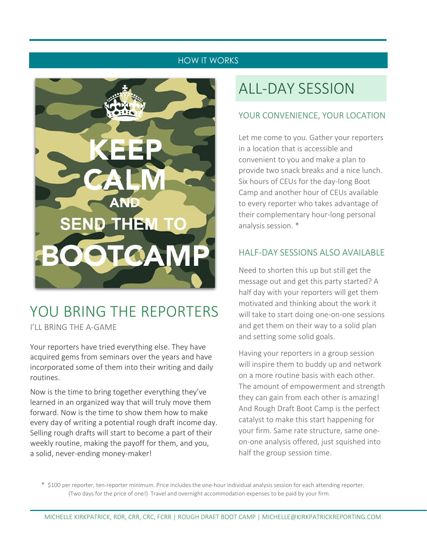#### HOW IT WORKS



## YOU BRING THE REPORTERS

I'LL BRING THE A-GAME

Your reporters have tried everything else. They have acquired gems from seminars over the years and have incorporated some of them into their writing and daily routines.

Now is the time to bring together everything they've learned in an organized way that will truly move them forward. Now is the time to show them how to make every day of writing a potential rough draft income day. Selling rough drafts will start to become a part of their weekly routine, making the payoff for them, and you, a solid, never-ending money-maker!

## ALL-DAY SESSION

#### YOUR CONVENIENCE, YOUR LOCATION

Let me come to you. Gather your reporters in a location that is accessible and convenient to you and make a plan to provide two snack breaks and a nice lunch. Six hours of CEUs for the day-long Boot Camp and another hour of CEUs available to every reporter who takes advantage of their complementary hour-long personal analysis session. \*

#### HALF-DAY SESSIONS ALSO AVAILABLE

Need to shorten this up but still get the message out and get this party started? A half day with your reporters will get them motivated and thinking about the work it will take to start doing one-on-one sessions and get them on their way to a solid plan and setting some solid goals.

Having your reporters in a group session will inspire them to buddy up and network on a more routine basis with each other. The amount of empowerment and strength they can gain from each other is amazing! And Rough Draft Boot Camp is the perfect catalyst to make this start happening for your firm. Same rate structure, same oneon-one analysis offered, just squished into half the group session time.

 \* \$100 per reporter, ten-reporter minimum. Price includes the one-hour individual analysis session for each attending reporter. (Two days for the price of one!) Travel and overnight accommodation expenses to be paid by your firm.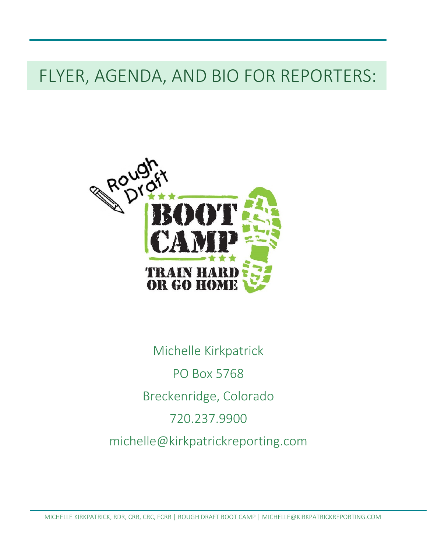## FLYER, AGENDA, AND BIO FOR REPORTERS:



Michelle Kirkpatrick PO Box 5768 Breckenridge, Colorado 720.237.9900 michelle@kirkpatrickreporting.com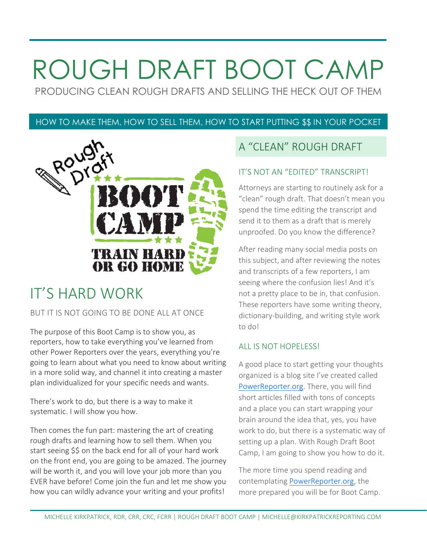## ROUGH DRAFT BOOT CAMP

PRODUCING CLEAN ROUGH DRAFTS AND SELLING THE HECK OUT OF THEM

#### HOW TO MAKE THEM, HOW TO SELL THEM, HOW TO START PUTTING \$\$ IN YOUR POCKET



## IT'S HARD WORK

#### BUT IT IS NOT GOING TO BE DONE ALL AT ONCE

The purpose of this Boot Camp is to show you, as reporters, how to take everything you've learned from other Power Reporters over the years, everything you're going to learn about what you need to know about writing in a more solid way, and channel it into creating a master plan individualized for your specific needs and wants.

There's work to do, but there is a way to make it systematic. I will show you how.

Then comes the fun part: mastering the art of creating rough drafts and learning how to sell them. When you start seeing \$\$ on the back end for all of your hard work on the front end, you are going to be amazed. The journey will be worth it, and you will love your job more than you EVER have before! Come join the fun and let me show you how you can wildly advance your writing and your profits!

#### A "CLEAN" ROUGH DRAFT

#### IT'S NOT AN "EDITED" TRANSCRIPT!

Attorneys are starting to routinely ask for a "clean" rough draft. That doesn't mean you spend the time editing the transcript and send it to them as a draft that is merely unproofed. Do you know the difference?

After reading many social media posts on this subject, and after reviewing the notes and transcripts of a few reporters, I am seeing where the confusion lies! And it's not a pretty place to be in, that confusion. These reporters have some writing theory, dictionary-building, and writing style work to do!

#### ALL IS NOT HOPELESS!

A good place to start getting your thoughts organized is a blog site I've created called PowerReporter.org. There, you will find short articles filled with tons of concepts and a place you can start wrapping your brain around the idea that, yes, you have work to do, but there is a systematic way of setting up a plan. With Rough Draft Boot Camp, I am going to show you how to do it.

The more time you spend reading and contemplating PowerReporter.org, the more prepared you will be for Boot Camp.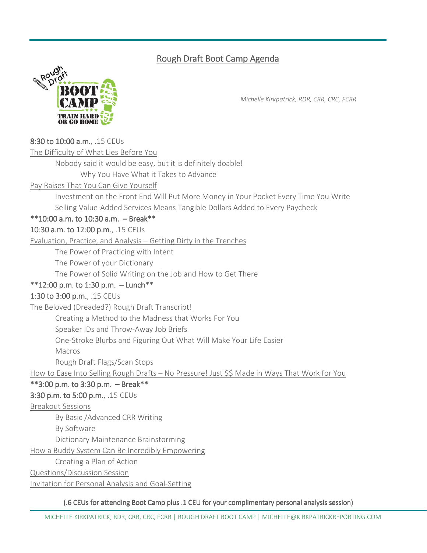#### Rough Draft Boot Camp Agenda



*Michelle Kirkpatrick, RDR, CRR, CRC, FCRR*

#### 8:30 to 10:00 a.m., .15 CEUs

The Difficulty of What Lies Before You

Nobody said it would be easy, but it is definitely doable!

Why You Have What it Takes to Advance

Pay Raises That You Can Give Yourself

Investment on the Front End Will Put More Money in Your Pocket Every Time You Write Selling Value-Added Services Means Tangible Dollars Added to Every Paycheck

#### $*10:00$  a.m. to 10:30 a.m.  $-$  Break\*\*

#### 10:30 a.m. to 12:00 p.m., .15 CEUs

Evaluation, Practice, and Analysis – Getting Dirty in the Trenches

The Power of Practicing with Intent

The Power of your Dictionary

The Power of Solid Writing on the Job and How to Get There

#### $*12:00$  p.m. to 1:30 p.m.  $-$  Lunch $**$

#### 1:30 to 3:00 p.m., .15 CEUs

The Beloved (Dreaded?) Rough Draft Transcript!

Creating a Method to the Madness that Works For You

Speaker IDs and Throw-Away Job Briefs

One-Stroke Blurbs and Figuring Out What Will Make Your Life Easier

Macros

Rough Draft Flags/Scan Stops

How to Ease Into Selling Rough Drafts – No Pressure! Just \$\$ Made in Ways That Work for You

#### $*$ 3:00 p.m. to 3:30 p.m.  $-$  Break\*\*

#### 3:30 p.m. to 5:00 p.m., .15 CEUs

#### Breakout Sessions

By Basic /Advanced CRR Writing

By Software

Dictionary Maintenance Brainstorming

How a Buddy System Can Be Incredibly Empowering

Creating a Plan of Action

Questions/Discussion Session

Invitation for Personal Analysis and Goal-Setting

(.6 CEUs for attending Boot Camp plus .1 CEU for your complimentary personal analysis session)